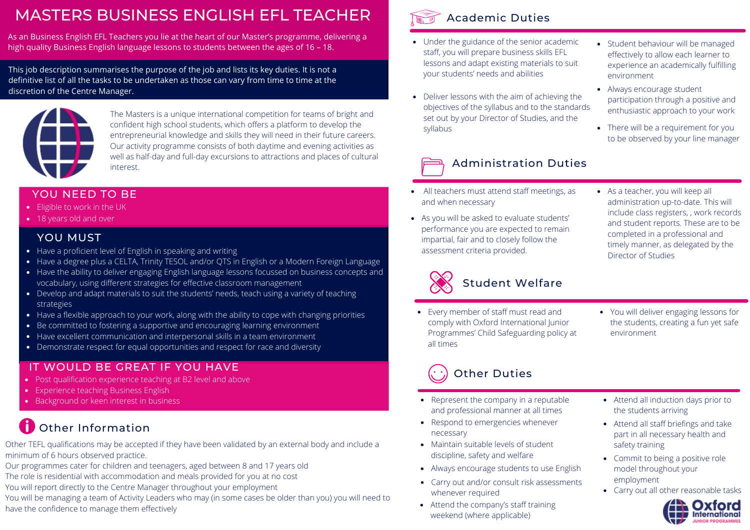# MASTERS BUSINESS ENGLISH EFL TEACHER

As an Business English EFL Teachers you lie at the heart of our Master's programme, delivering a high quality Business English language lessons to students between the ages of 16 – 18.

This job description summarises the purpose of the job and lists its key duties. It is not a definitive list of all the tasks to be undertaken as those can vary from time to time at the discretion of the Centre Manager.



The Masters is a unique international competition for teams of bright and confident high school students, which offers a platform to develop the entrepreneurial knowledge and skills they will need in their future careers. Our activity programme consists of both daytime and evening activities as well as half-day and full-day excursions to attractions and places of cultural interest.

### YOU NEED TO BE

- Eligible to work in the UK
- 18 years old and over

#### YOU MUST

- Have a proficient level of English in speaking and writing
- Have a degree plus a CELTA, Trinity TESOL and/or QTS in English or a Modern Foreign Language
- Have the ability to deliver engaging English language lessons focussed on business concepts and vocabulary, using different strategies for effective classroom management
- Develop and adapt materials to suit the students' needs, teach using a variety of teaching strategies
- $\bullet$  Have a flexible approach to your work, along with the ability to cope with changing priorities
- Be committed to fostering a supportive and encouraging learning environment
- Have excellent communication and interpersonal skills in a team environment
- Demonstrate respect for equal opportunities and respect for race and diversity

#### IT WOULD BE GREAT IF YOU HAVE

- Post qualification experience teaching at B2 level and above
- Experience teaching Business English
- Background or keen interest in business

### **Cother Information**

Other TEFL qualifications may be accepted if they have been validated by an external body and include a minimum of 6 hours observed practice.

- Our programmes cater for children and teenagers, aged between 8 and 17 years old
- The role is residential with accommodation and meals provided for you at no cost
- You will report directly to the Centre Manager throughout your employment
- You will be managing a team of Activity Leaders who may (in some cases be older than you) you will need to have the confidence to manage them effectively



- Under the guidance of the senior academic staff, you will prepare business skills EFL lessons and adapt existing materials to suit your students' needs and abilities
- Deliver lessons with the aim of achieving the objectives of the syllabus and to the standards set out by your Director of Studies, and the syllabus



- All teachers must attend staff meetings, as and when necessary
- As you will be asked to evaluate students' performance you are expected to remain impartial, fair and to closely follow the assessment criteria provided.
- As a teacher, you will keep all administration up-to-date. This will include class registers, , work records and student reports. These are to be completed in a professional and timely manner, as delegated by the Director of Studies

Student behaviour will be managed effectively to allow each learner to experience an academically fulfilling

participation through a positive and enthusiastic approach to your work

• There will be a requirement for you to be observed by your line manager

environment

Always encourage student



### Student Welfare

- Every member of staff must read and comply with Oxford International Junior Programmes' Child Safeguarding policy at all times
- You will deliver engaging lessons for the students, creating a fun yet safe environment

# Other Duties

- Represent the company in a reputable and professional manner at all times
- Respond to emergencies whenever necessary
- Maintain suitable levels of student discipline, safety and welfare
- Always encourage students to use English
- Carry out and/or consult risk assessments whenever required
- Attend the company's staff training weekend (where applicable)
- Attend all induction days prior to the students arriving
- Attend all staff briefings and take part in all necessary health and safety training
- Commit to being a positive role model throughout your employment
- Carry out all other reasonable tasks